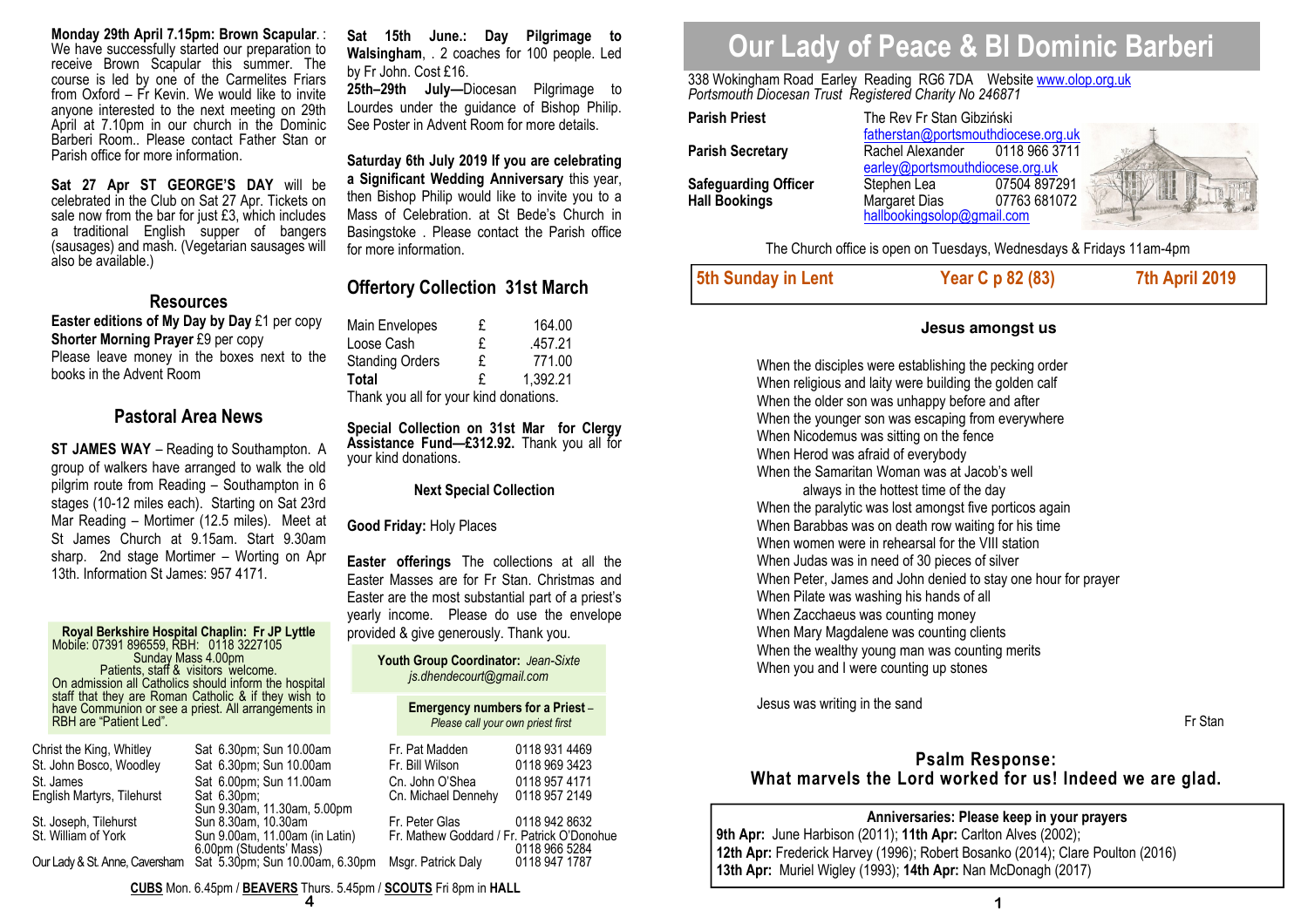**Monday 29th April 7.15pm: Brown Scapular**. : We have successfully started our preparation to receive Brown Scapular this summer. The course is led by one of the Carmelites Friars from Oxford – Fr Kevin. We would like to invite anyone interested to the next meeting on 29th April at 7.10pm in our church in the Dominic Barberi Room.. Please contact Father Stan or Parish office for more information.

**Sat 27 Apr ST GEORGE'S DAY** will be celebrated in the Club on Sat 27 Apr. Tickets on sale now from the bar for just £3, which includes a traditional English supper of bangers (sausages) and mash. (Vegetarian sausages will also be available.)

## **Resources**

 **Easter editions of My Day by Day** £1 per copy**Shorter Morning Prayer** £9 per copy Please leave money in the boxes next to the books in the Advent Room

## **Pastoral Area News**

**ST JAMES WAY** – Reading to Southampton. A group of walkers have arranged to walk the old pilgrim route from Reading – Southampton in 6 stages (10-12 miles each). Starting on Sat 23rd Mar Reading – Mortimer (12.5 miles). Meet at St James Church at 9.15am. Start 9.30am sharp. 2nd stage Mortimer – Worting on Apr 13th. Information St James: 957 4171.

**Royal Berkshire Hospital Chaplin: Fr JP Lyttle** Mobile: 07391 896559, RBH: 0118 3227105 Patients, staff & visitors welcome. On admission all Catholics should inform the hospital<br>staff that they are Roman Catholic & if they wish to<br>have Communion or see a priest. All arrangements in<br>RBH are "Patient Led".

| Christ the King, Whitley       | Sat 6.30pm; Sun 10.00am         | Fr. Pat Madden                             | 0118 931 4469 |
|--------------------------------|---------------------------------|--------------------------------------------|---------------|
| St. John Bosco, Woodley        | Sat 6.30pm; Sun 10.00am         | Fr. Bill Wilson                            | 0118 969 3423 |
| St. James                      | Sat 6.00pm; Sun 11.00am         | Cn. John O'Shea                            | 0118 957 4171 |
| English Martyrs, Tilehurst     | Sat 6.30pm;                     | Cn. Michael Dennehy                        | 0118 957 2149 |
|                                | Sun 9.30am, 11.30am, 5.00pm     |                                            |               |
| St. Joseph, Tilehurst          | Sun 8.30am, 10.30am             | Fr. Peter Glas                             | 0118 942 8632 |
| St. William of York            | Sun 9.00am, 11.00am (in Latin)  | Fr. Mathew Goddard / Fr. Patrick O'Donohue |               |
|                                | 6.00pm (Students' Mass)         |                                            | 0118 966 5284 |
| Our Lady & St. Anne, Caversham | Sat 5.30pm; Sun 10.00am, 6.30pm | Msgr. Patrick Daly                         | 0118 947 1787 |

**Sat 15th June.: Day Pilgrimage to Walsingham**, . 2 coaches for 100 people. Led by Fr John. Cost £16.

**25th–29th July—**Diocesan Pilgrimage to Lourdes under the guidance of Bishop Philip. See Poster in Advent Room for more details.

**Saturday 6th July 2019 If you are celebrating a Significant Wedding Anniversary** this year, then Bishop Philip would like to invite you to a Mass of Celebration. at St Bede's Church in Basingstoke . Please contact the Parish office for more information.

## **Offertory Collection 31st March**

| Main Envelopes                         | £ | 164.00   |
|----------------------------------------|---|----------|
| Loose Cash                             | £ | .457.21  |
| <b>Standing Orders</b>                 | £ | 771.00   |
| <b>Total</b>                           | £ | 1,392.21 |
| Thank you all for your kind donations. |   |          |

**Special Collection on 31st Mar for Clergy Assistance Fund—£312.92.** Thank you all for your kind donations.

**Next Special Collection** 

#### **Good Friday:** Holy Places

**Easter offerings** The collections at all the Easter Masses are for Fr Stan. Christmas and Easter are the most substantial part of a priest's yearly income. Please do use the envelope provided & give generously. Thank you.

> **Youth Group Coordinator:** *Jean-Sixte js.dhendecourt@gmail.com*

> > **Emergency numbers for a Priest** *–Please call your own priest first*

| Fr. Pat Madden<br>Fr. Bill Wilson<br>Cn. John O'Shea<br>Cn. Michael Dennehy | 0118 931 4469<br>0118 969 3423<br>0118 957 4171<br>0118 957 2149 |
|-----------------------------------------------------------------------------|------------------------------------------------------------------|
| Fr. Peter Glas<br>Fr. Mathew Goddard / Fr. Patrick O'Donohu                 | 0118 942 8632                                                    |
| Msgr. Patrick Daly                                                          | 0118 966 5284<br>0118 947 1787                                   |

# **Our Lady of Peace & Bl Dominic Barberi**

338 Wokingham Road Earley Reading RG6 7DA Website www.olop.org.uk *Portsmouth Diocesan Trust Registered Charity No 246871* 

| <b>Parish Priest</b>        | The Rev Fr Stan Gibziński<br>fatherstan@portsmouthdiocese.org.uk |               |      |
|-----------------------------|------------------------------------------------------------------|---------------|------|
|                             |                                                                  |               |      |
| <b>Parish Secretary</b>     | Rachel Alexander                                                 | 0118 966 3711 |      |
|                             | earley@portsmouthdiocese.org.uk                                  |               |      |
| <b>Safeguarding Officer</b> | Stephen Lea                                                      | 07504 897291  | in n |
| <b>Hall Bookings</b>        | Margaret Dias                                                    | 07763 681072  |      |
|                             | hallbookingsolop@gmail.com                                       |               |      |

The Church office is open on Tuesdays, Wednesdays & Fridays 11am-4pm

| 5th Sunday in Lent | Year C p 82 (83) | 7th April 2019 |
|--------------------|------------------|----------------|
|                    |                  |                |

## **Jesus amongst us**

When the disciples were establishing the pecking order When religious and laity were building the golden calf When the older son was unhappy before and after When the younger son was escaping from everywhere When Nicodemus was sitting on the fence When Herod was afraid of everybody When the Samaritan Woman was at Jacob's well always in the hottest time of the day When the paralytic was lost amongst five porticos again When Barabbas was on death row waiting for his timeWhen women were in rehearsal for the VIII station When Judas was in need of 30 pieces of silver When Peter, James and John denied to stay one hour for prayer When Pilate was washing his hands of all When Zacchaeus was counting money When Mary Magdalene was counting clients When the wealthy young man was counting merits When you and I were counting up stones

Jesus was writing in the sand

## Fr Stan

## **Psalm Response: What marvels the Lord worked for us! Indeed we are glad.**

## **Anniversaries: Please keep in your prayers**

**9th Apr:** June Harbison (2011); **11th Apr:** Carlton Alves (2002); **12th Apr:** Frederick Harvey (1996); Robert Bosanko (2014); Clare Poulton (2016) **13th Apr:** Muriel Wigley (1993); **14th Apr:** Nan McDonagh (2017)

**CUBS** Mon. 6.45pm / **BEAVERS** Thurs. 5.45pm / **SCOUTS** Fri 8pm in **HALL**